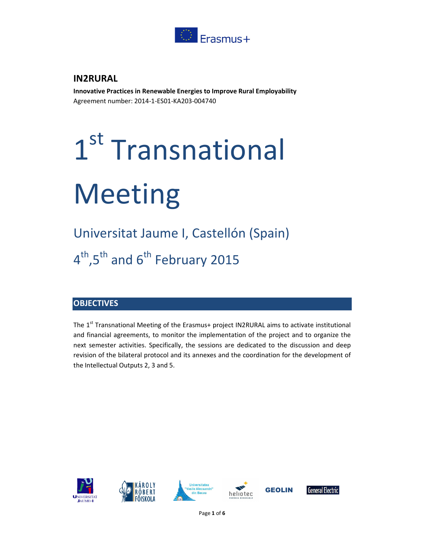

# **IN2RURAL**

**Innovative Practices in Renewable Energies to Improve Rural Employability**  Agreement number: 2014-1-ES01-KA203-004740

# 1<sup>st</sup> Transnational Meeting

Universitat Jaume I, Castellón (Spain) 4<sup>th</sup>,5<sup>th</sup> and 6<sup>th</sup> February 2015

# **OBJECTIVES**

The  $1<sup>st</sup>$  Transnational Meeting of the Erasmus+ project IN2RURAL aims to activate institutional and financial agreements, to monitor the implementation of the project and to organize the next semester activities. Specifically, the sessions are dedicated to the discussion and deep revision of the bilateral protocol and its annexes and the coordination for the development of the Intellectual Outputs 2, 3 and 5.

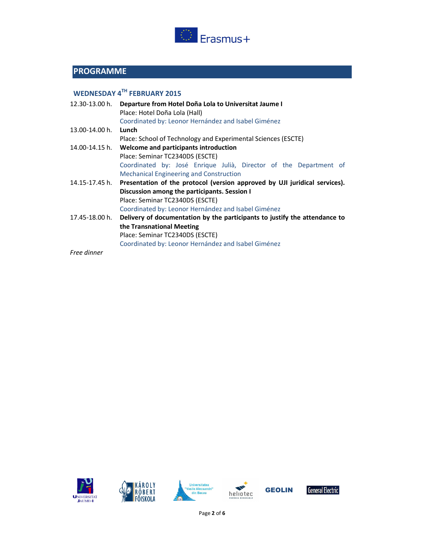

# **PROGRAMME**

# **WEDNESDAY 4TH FEBRUARY 2015**

| 12.30-13.00 h. | Departure from Hotel Doña Lola to Universitat Jaume I<br>Place: Hotel Doña Lola (Hall)<br>Coordinated by: Leonor Hernández and Isabel Giménez |
|----------------|-----------------------------------------------------------------------------------------------------------------------------------------------|
| 13.00-14.00 h. | Lunch                                                                                                                                         |
|                | Place: School of Technology and Experimental Sciences (ESCTE)                                                                                 |
| 14.00-14.15 h. | Welcome and participants introduction                                                                                                         |
|                | Place: Seminar TC2340DS (ESCTE)                                                                                                               |
|                | Coordinated by: José Enrique Julià, Director of the Department of                                                                             |
|                | <b>Mechanical Engineering and Construction</b>                                                                                                |
| 14.15-17.45 h. | Presentation of the protocol (version approved by UJI juridical services).                                                                    |
|                | Discussion among the participants. Session I                                                                                                  |
|                | Place: Seminar TC2340DS (ESCTE)                                                                                                               |
|                | Coordinated by: Leonor Hernández and Isabel Giménez                                                                                           |
| 17.45-18.00 h. | Delivery of documentation by the participants to justify the attendance to                                                                    |
|                | the Transnational Meeting<br>Place: Seminar TC2340DS (ESCTE)<br>Coordinated by: Leonor Hernández and Isabel Giménez                           |
|                |                                                                                                                                               |

*Free dinner* 









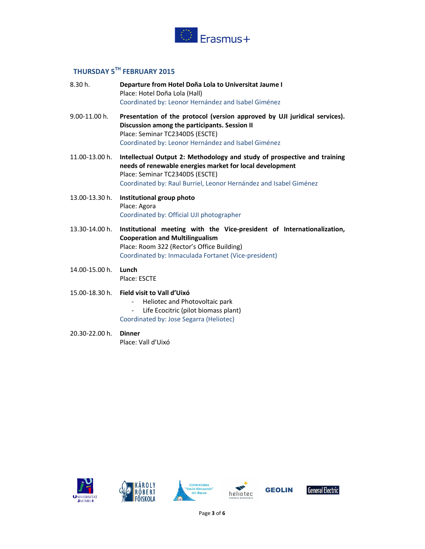

# **THURSDAY 5TH FEBRUARY 2015**

| 8.30 h.           | Departure from Hotel Doña Lola to Universitat Jaume I<br>Place: Hotel Doña Lola (Hall)<br>Coordinated by: Leonor Hernández and Isabel Giménez                                                                                                |
|-------------------|----------------------------------------------------------------------------------------------------------------------------------------------------------------------------------------------------------------------------------------------|
| $9.00 - 11.00$ h. | Presentation of the protocol (version approved by UJI juridical services).<br>Discussion among the participants. Session II<br>Place: Seminar TC2340DS (ESCTE)<br>Coordinated by: Leonor Hernández and Isabel Giménez                        |
| 11.00-13.00 h.    | Intellectual Output 2: Methodology and study of prospective and training<br>needs of renewable energies market for local development<br>Place: Seminar TC2340DS (ESCTE)<br>Coordinated by: Raul Burriel, Leonor Hernández and Isabel Giménez |
| 13.00-13.30 h.    | Institutional group photo<br>Place: Agora<br>Coordinated by: Official UJI photographer                                                                                                                                                       |
| 13.30-14.00 h.    | Institutional meeting with the Vice-president of Internationalization,<br><b>Cooperation and Multilingualism</b><br>Place: Room 322 (Rector's Office Building)<br>Coordinated by: Inmaculada Fortanet (Vice-president)                       |
| 14.00-15.00 h.    | Lunch<br>Place: ESCTE                                                                                                                                                                                                                        |
| 15.00-18.30 h.    | Field visit to Vall d'Uixó<br>Heliotec and Photovoltaic park<br>Life Ecocitric (pilot biomass plant)<br>Coordinated by: Jose Segarra (Heliotec)                                                                                              |

20.30-22.00 h. **Dinner**  Place: Vall d'Uixó



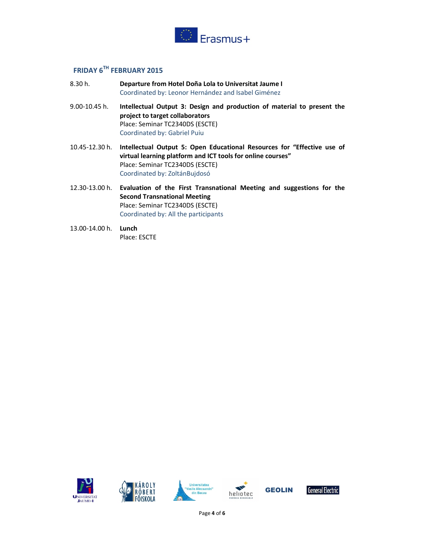

## **FRIDAY 6TH FEBRUARY 2015**

- 8.30 h. **Departure from Hotel Doña Lola to Universitat Jaume I**  Coordinated by: Leonor Hernández and Isabel Giménez
- 9.00-10.45 h. **Intellectual Output 3: Design and production of material to present the project to target collaborators**  Place: Seminar TC2340DS (ESCTE) Coordinated by: Gabriel Puiu
- 10.45-12.30 h. **Intellectual Output 5: Open Educational Resources for "Effective use of virtual learning platform and ICT tools for online courses"**  Place: Seminar TC2340DS (ESCTE) Coordinated by: ZoltánBujdosó
- 12.30-13.00 h. **Evaluation of the First Transnational Meeting and suggestions for the Second Transnational Meeting**  Place: Seminar TC2340DS (ESCTE) Coordinated by: All the participants
- 13.00-14.00 h. **Lunch**  Place: ESCTE











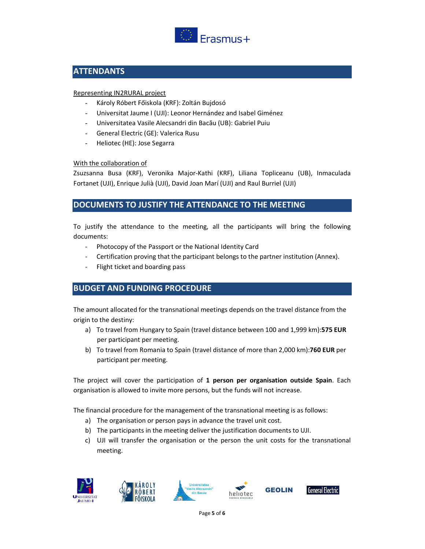

## **ATTENDANTS**

#### Representing IN2RURAL project

- Károly Róbert Főiskola (KRF): Zoltán Bujdosó
- Universitat Jaume I (UJI): Leonor Hernández and Isabel Giménez
- Universitatea Vasile Alecsandri din Bacău (UB): Gabriel Puiu
- General Electric (GE): Valerica Rusu
- Heliotec (HE): Jose Segarra

#### With the collaboration of

Zsuzsanna Busa (KRF), Veronika Major-Kathi (KRF), Liliana Topliceanu (UB), Inmaculada Fortanet (UJI), Enrique Julià (UJI), David Joan Marí (UJI) and Raul Burriel (UJI)

#### **DOCUMENTS TO JUSTIFY THE ATTENDANCE TO THE MEETING**

To justify the attendance to the meeting, all the participants will bring the following documents:

- Photocopy of the Passport or the National Identity Card
- Certification proving that the participant belongs to the partner institution (Annex).
- Flight ticket and boarding pass

## **BUDGET AND FUNDING PROCEDURE**

The amount allocated for the transnational meetings depends on the travel distance from the origin to the destiny:

- a) To travel from Hungary to Spain (travel distance between 100 and 1,999 km):**575 EUR** per participant per meeting.
- b) To travel from Romania to Spain (travel distance of more than 2,000 km):**760 EUR** per participant per meeting.

The project will cover the participation of **1 person per organisation outside Spain**. Each organisation is allowed to invite more persons, but the funds will not increase.

The financial procedure for the management of the transnational meeting is as follows:

- a) The organisation or person pays in advance the travel unit cost.
- b) The participants in the meeting deliver the justification documents to UJI.
- c) UJI will transfer the organisation or the person the unit costs for the transnational meeting.